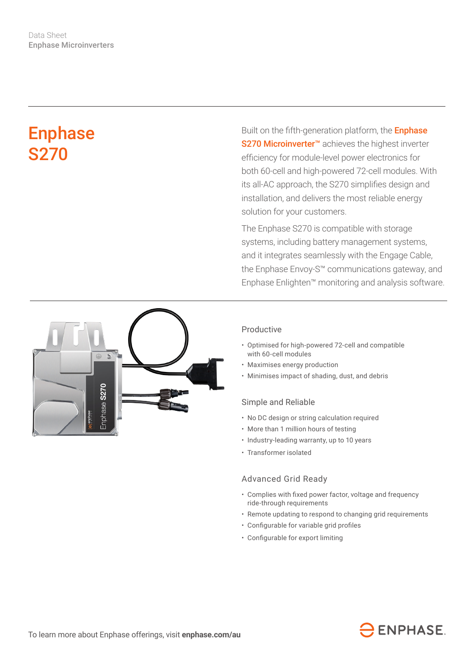# Enphase S270

Built on the fifth-generation platform, the **Enphase** S270 Microinverter<sup>™</sup> achieves the highest inverter efficiency for module-level power electronics for both 60-cell and high-powered 72-cell modules. With its all-AC approach, the S270 simplifies design and installation, and delivers the most reliable energy solution for your customers.

The Enphase S270 is compatible with storage systems, including battery management systems, and it integrates seamlessly with the Engage Cable, the Enphase Envoy-S™ communications gateway, and Enphase Enlighten™ monitoring and analysis software.



### Productive

- Optimised for high-powered 72-cell and compatible with 60-cell modules
- Maximises energy production
- Minimises impact of shading, dust, and debris

#### Simple and Reliable

- No DC design or string calculation required
- More than 1 million hours of testing
- Industry-leading warranty, up to 10 years
- Transformer isolated

#### Advanced Grid Ready

- • Complies with fixed power factor, voltage and frequency ride-through requirements
- Remote updating to respond to changing grid requirements
- • Configurable for variable grid profiles
- • Configurable for export limiting